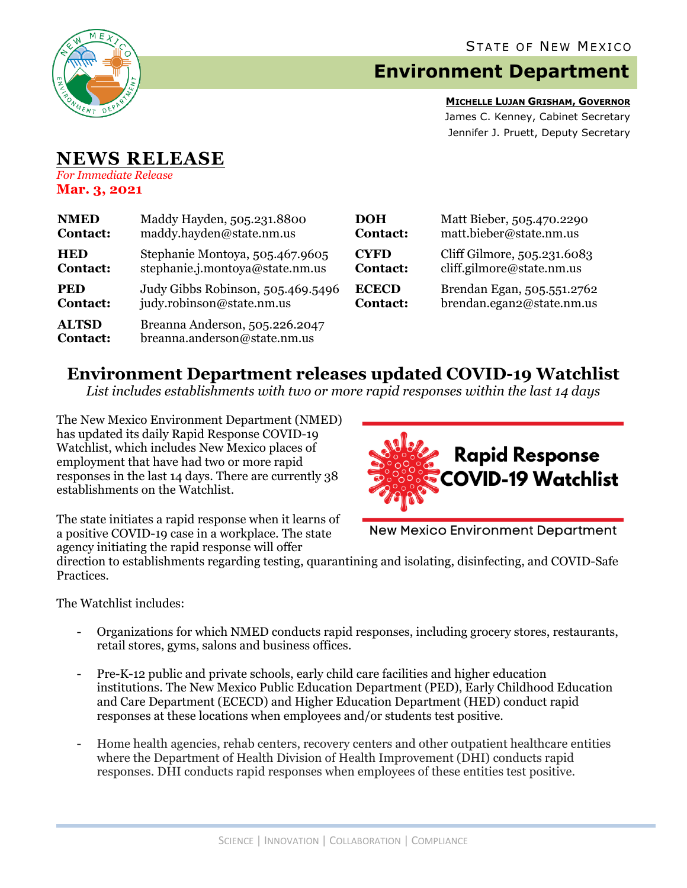

## **Environment Department**

**MICHELLE LUJAN GRISHAM, GOVERNOR** James C. Kenney, Cabinet Secretary Jennifer J. Pruett, Deputy Secretary

## **NEWS RELEASE** *For Immediate Release*

**Mar. 3, 2021**

| <b>NMED</b>                     | Maddy Hayden, 505.231.8800                                     | <b>DOH</b>      | Matt Bieber, 505.470.2290    |
|---------------------------------|----------------------------------------------------------------|-----------------|------------------------------|
| <b>Contact:</b>                 | maddy.hayden@state.nm.us                                       | <b>Contact:</b> | matt.bieber@state.nm.us      |
| <b>HED</b>                      | Stephanie Montoya, 505.467.9605                                | <b>CYFD</b>     | Cliff Gilmore, 505.231.6083  |
| <b>Contact:</b>                 | stephanie.j.montoya@state.nm.us                                | <b>Contact:</b> | $cliff$ .gilmore@state.nm.us |
| <b>PED</b>                      | Judy Gibbs Robinson, 505.469.5496                              | <b>ECECD</b>    | Brendan Egan, 505.551.2762   |
| <b>Contact:</b>                 | judy.robinson@state.nm.us                                      | <b>Contact:</b> | brendan.egan2@state.nm.us    |
| <b>ALTSD</b><br><b>Contact:</b> | Breanna Anderson, 505.226.2047<br>breanna.anderson@state.nm.us |                 |                              |

## **Environment Department releases updated COVID-19 Watchlist**

*List includes establishments with two or more rapid responses within the last 14 days*

The New Mexico Environment Department (NMED) has updated its daily Rapid Response COVID-19 Watchlist, which includes New Mexico places of employment that have had two or more rapid responses in the last 14 days. There are currently 38 establishments on the Watchlist.



The state initiates a rapid response when it learns of a positive COVID-19 case in a workplace. The state agency initiating the rapid response will offer

**New Mexico Environment Department** 

direction to establishments regarding testing, quarantining and isolating, disinfecting, and COVID-Safe Practices.

The Watchlist includes:

- Organizations for which NMED conducts rapid responses, including grocery stores, restaurants, retail stores, gyms, salons and business offices.
- Pre-K-12 public and private schools, early child care facilities and higher education institutions. The New Mexico Public Education Department (PED), Early Childhood Education and Care Department (ECECD) and Higher Education Department (HED) conduct rapid responses at these locations when employees and/or students test positive.
- Home health agencies, rehab centers, recovery centers and other outpatient healthcare entities where the Department of Health Division of Health Improvement (DHI) conducts rapid responses. DHI conducts rapid responses when employees of these entities test positive.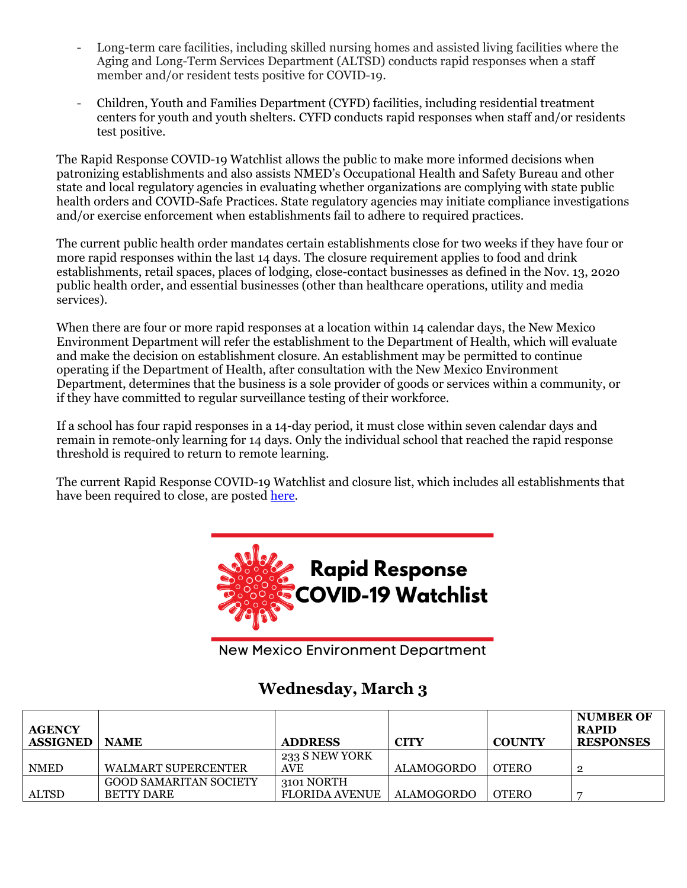- Long-term care facilities, including skilled nursing homes and assisted living facilities where the Aging and Long-Term Services Department (ALTSD) conducts rapid responses when a staff member and/or resident tests positive for COVID-19.
- Children, Youth and Families Department (CYFD) facilities, including residential treatment centers for youth and youth shelters. CYFD conducts rapid responses when staff and/or residents test positive.

The Rapid Response COVID-19 Watchlist allows the public to make more informed decisions when patronizing establishments and also assists NMED's Occupational Health and Safety Bureau and other state and local regulatory agencies in evaluating whether organizations are complying with state public health orders and COVID-Safe Practices. State regulatory agencies may initiate compliance investigations and/or exercise enforcement when establishments fail to adhere to required practices.

The current public health order mandates certain establishments close for two weeks if they have four or more rapid responses within the last 14 days. The closure requirement applies to food and drink establishments, retail spaces, places of lodging, close-contact businesses as defined in the Nov. 13, 2020 public health order, and essential businesses (other than healthcare operations, utility and media services).

When there are four or more rapid responses at a location within 14 calendar days, the New Mexico Environment Department will refer the establishment to the Department of Health, which will evaluate and make the decision on establishment closure. An establishment may be permitted to continue operating if the Department of Health, after consultation with the New Mexico Environment Department, determines that the business is a sole provider of goods or services within a community, or if they have committed to regular surveillance testing of their workforce.

If a school has four rapid responses in a 14-day period, it must close within seven calendar days and remain in remote-only learning for 14 days. Only the individual school that reached the rapid response threshold is required to return to remote learning.

The current Rapid Response COVID-19 Watchlist and closure list, which includes all establishments that have been required to close, are posted [here.](https://www.env.nm.gov/rapid-response-data/)



**New Mexico Environment Department** 

## **Wednesday, March 3**

| <b>AGENCY</b><br><b>ASSIGNED</b> | <b>NAME</b>                   | <b>ADDRESS</b>        | <b>CITY</b>       | <b>COUNTY</b> | <b>NUMBER OF</b><br><b>RAPID</b><br><b>RESPONSES</b> |
|----------------------------------|-------------------------------|-----------------------|-------------------|---------------|------------------------------------------------------|
|                                  |                               | 233 S NEW YORK        |                   |               |                                                      |
| <b>NMED</b>                      | WALMART SUPERCENTER           | <b>AVE</b>            | <b>ALAMOGORDO</b> | <b>OTERO</b>  |                                                      |
|                                  | <b>GOOD SAMARITAN SOCIETY</b> | 3101 NORTH            |                   |               |                                                      |
| <b>ALTSD</b>                     | <b>BETTY DARE</b>             | <b>FLORIDA AVENUE</b> | ALAMOGORDO        | <b>OTERO</b>  |                                                      |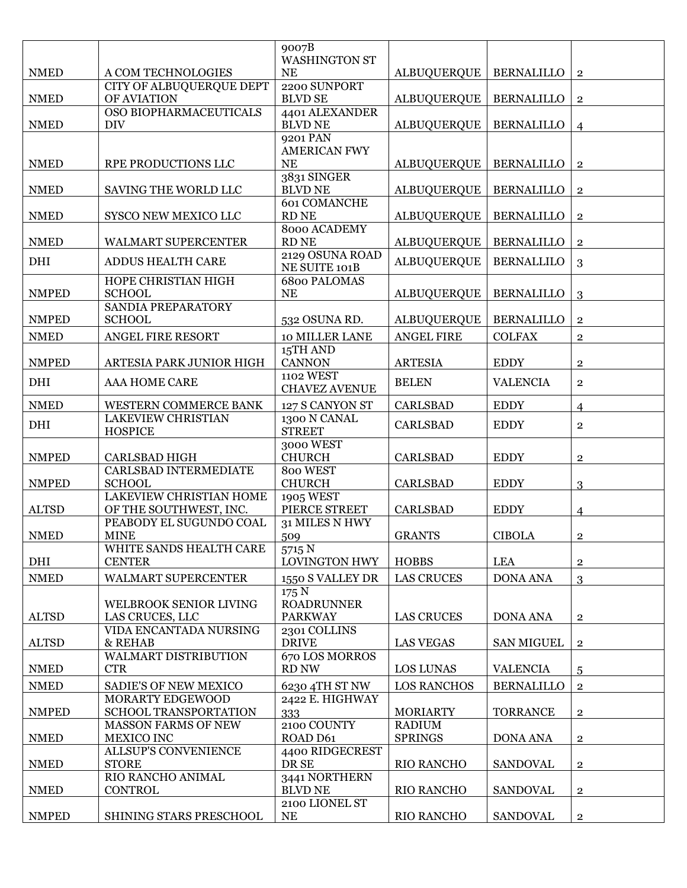|              |                                                           | 9007B                               |                                 |                   |                |
|--------------|-----------------------------------------------------------|-------------------------------------|---------------------------------|-------------------|----------------|
| <b>NMED</b>  | A COM TECHNOLOGIES                                        | WASHINGTON ST<br><b>NE</b>          | <b>ALBUQUERQUE</b>              | <b>BERNALILLO</b> | $\overline{2}$ |
|              | CITY OF ALBUQUERQUE DEPT                                  | 2200 SUNPORT                        |                                 |                   |                |
| <b>NMED</b>  | OF AVIATION                                               | <b>BLVD SE</b>                      | <b>ALBUQUERQUE</b>              | <b>BERNALILLO</b> | $\mathbf{2}$   |
|              | OSO BIOPHARMACEUTICALS                                    | 4401 ALEXANDER                      |                                 |                   |                |
| <b>NMED</b>  | <b>DIV</b>                                                | <b>BLVD NE</b>                      | <b>ALBUQUERQUE</b>              | <b>BERNALILLO</b> | $\overline{4}$ |
|              |                                                           | 9201 PAN<br><b>AMERICAN FWY</b>     |                                 |                   |                |
| <b>NMED</b>  | RPE PRODUCTIONS LLC                                       | NE                                  | <b>ALBUQUERQUE</b>              | <b>BERNALILLO</b> | $\overline{2}$ |
|              |                                                           | 3831 SINGER                         |                                 |                   |                |
| <b>NMED</b>  | SAVING THE WORLD LLC                                      | <b>BLVD NE</b>                      | <b>ALBUQUERQUE</b>              | <b>BERNALILLO</b> | $\,2$          |
| <b>NMED</b>  | SYSCO NEW MEXICO LLC                                      | <b>601 COMANCHE</b><br><b>RD NE</b> | ALBUQUERQUE                     | <b>BERNALILLO</b> |                |
|              |                                                           | 8000 ACADEMY                        |                                 |                   | $\mathbf{2}$   |
| <b>NMED</b>  | WALMART SUPERCENTER                                       | <b>RD NE</b>                        | <b>ALBUQUERQUE</b>              | <b>BERNALILLO</b> | $\mathbf{2}$   |
| DHI          | <b>ADDUS HEALTH CARE</b>                                  | 2129 OSUNA ROAD                     | <b>ALBUQUERQUE</b>              | <b>BERNALLILO</b> | 3              |
|              |                                                           | NE SUITE 101B                       |                                 |                   |                |
| <b>NMPED</b> | HOPE CHRISTIAN HIGH<br><b>SCHOOL</b>                      | <b>6800 PALOMAS</b><br>NE           | <b>ALBUQUERQUE</b>              | <b>BERNALILLO</b> | 3              |
|              | SANDIA PREPARATORY                                        |                                     |                                 |                   |                |
| <b>NMPED</b> | <b>SCHOOL</b>                                             | 532 OSUNA RD.                       | <b>ALBUQUERQUE</b>              | <b>BERNALILLO</b> | $\mathbf{2}$   |
| <b>NMED</b>  | ANGEL FIRE RESORT                                         | 10 MILLER LANE                      | <b>ANGEL FIRE</b>               | <b>COLFAX</b>     | $\,2$          |
|              |                                                           | 15TH AND                            |                                 |                   |                |
| <b>NMPED</b> | ARTESIA PARK JUNIOR HIGH                                  | <b>CANNON</b>                       | <b>ARTESIA</b>                  | <b>EDDY</b>       | $\mathbf{2}$   |
| DHI          | AAA HOME CARE                                             | 1102 WEST<br><b>CHAVEZ AVENUE</b>   | <b>BELEN</b>                    | <b>VALENCIA</b>   | $\overline{2}$ |
| <b>NMED</b>  |                                                           |                                     | <b>CARLSBAD</b>                 |                   |                |
|              | <b>WESTERN COMMERCE BANK</b><br><b>LAKEVIEW CHRISTIAN</b> | 127 S CANYON ST<br>1300 N CANAL     |                                 | <b>EDDY</b>       | $\overline{4}$ |
| DHI          | <b>HOSPICE</b>                                            | <b>STREET</b>                       | <b>CARLSBAD</b>                 | <b>EDDY</b>       | $\overline{2}$ |
|              |                                                           | 3000 WEST                           |                                 |                   |                |
| <b>NMPED</b> | <b>CARLSBAD HIGH</b>                                      | <b>CHURCH</b>                       | <b>CARLSBAD</b>                 | <b>EDDY</b>       | $\mathbf 2$    |
| <b>NMPED</b> | <b>CARLSBAD INTERMEDIATE</b><br><b>SCHOOL</b>             | 800 WEST<br><b>CHURCH</b>           | <b>CARLSBAD</b>                 | <b>EDDY</b>       | 3              |
|              | <b>LAKEVIEW CHRISTIAN HOME</b>                            | 1905 WEST                           |                                 |                   |                |
| <b>ALTSD</b> | OF THE SOUTHWEST, INC.                                    | PIERCE STREET                       | <b>CARLSBAD</b>                 | <b>EDDY</b>       | $\overline{4}$ |
|              | PEABODY EL SUGUNDO COAL                                   | 31 MILES N HWY                      |                                 |                   |                |
| <b>NMED</b>  | <b>MINE</b>                                               | 509                                 | <b>GRANTS</b>                   | <b>CIBOLA</b>     | $\,2$          |
| DHI          | WHITE SANDS HEALTH CARE<br><b>CENTER</b>                  | 5715 N<br><b>LOVINGTON HWY</b>      | <b>HOBBS</b>                    | <b>LEA</b>        | $\mathbf{2}$   |
| <b>NMED</b>  | WALMART SUPERCENTER                                       | 1550 S VALLEY DR                    | <b>LAS CRUCES</b>               | <b>DONA ANA</b>   | 3              |
|              |                                                           | 175 N                               |                                 |                   |                |
|              | WELBROOK SENIOR LIVING                                    | <b>ROADRUNNER</b>                   |                                 |                   |                |
| <b>ALTSD</b> | LAS CRUCES, LLC                                           | <b>PARKWAY</b>                      | <b>LAS CRUCES</b>               | <b>DONA ANA</b>   | $\mathbf{2}$   |
| <b>ALTSD</b> | VIDA ENCANTADA NURSING<br>& REHAB                         | 2301 COLLINS<br><b>DRIVE</b>        | <b>LAS VEGAS</b>                | <b>SAN MIGUEL</b> | $\mathbf{2}$   |
|              | WALMART DISTRIBUTION                                      | 670 LOS MORROS                      |                                 |                   |                |
| <b>NMED</b>  | <b>CTR</b>                                                | RD NW                               | LOS LUNAS                       | <b>VALENCIA</b>   | 5              |
| <b>NMED</b>  | SADIE'S OF NEW MEXICO                                     | 6230 4TH ST NW                      | <b>LOS RANCHOS</b>              | <b>BERNALILLO</b> | $\,2$          |
|              | MORARTY EDGEWOOD                                          | 2422 E. HIGHWAY                     |                                 |                   |                |
| <b>NMPED</b> | <b>SCHOOL TRANSPORTATION</b>                              | 333                                 | <b>MORIARTY</b>                 | <b>TORRANCE</b>   | $\mathbf{2}$   |
| <b>NMED</b>  | <b>MASSON FARMS OF NEW</b><br>MEXICO INC                  | 2100 COUNTY<br>ROAD D61             | <b>RADIUM</b><br><b>SPRINGS</b> | <b>DONA ANA</b>   | $\overline{2}$ |
|              | <b>ALLSUP'S CONVENIENCE</b>                               | 4400 RIDGECREST                     |                                 |                   |                |
| <b>NMED</b>  | <b>STORE</b>                                              | DR SE                               | <b>RIO RANCHO</b>               | <b>SANDOVAL</b>   | $\mathbf{2}$   |
|              | RIO RANCHO ANIMAL                                         | 3441 NORTHERN                       |                                 |                   |                |
| <b>NMED</b>  | <b>CONTROL</b>                                            | <b>BLVD NE</b>                      | <b>RIO RANCHO</b>               | <b>SANDOVAL</b>   | $\overline{2}$ |
| <b>NMPED</b> | <b>SHINING STARS PRESCHOOL</b>                            | 2100 LIONEL ST<br>NE                | <b>RIO RANCHO</b>               | <b>SANDOVAL</b>   | $\overline{2}$ |
|              |                                                           |                                     |                                 |                   |                |